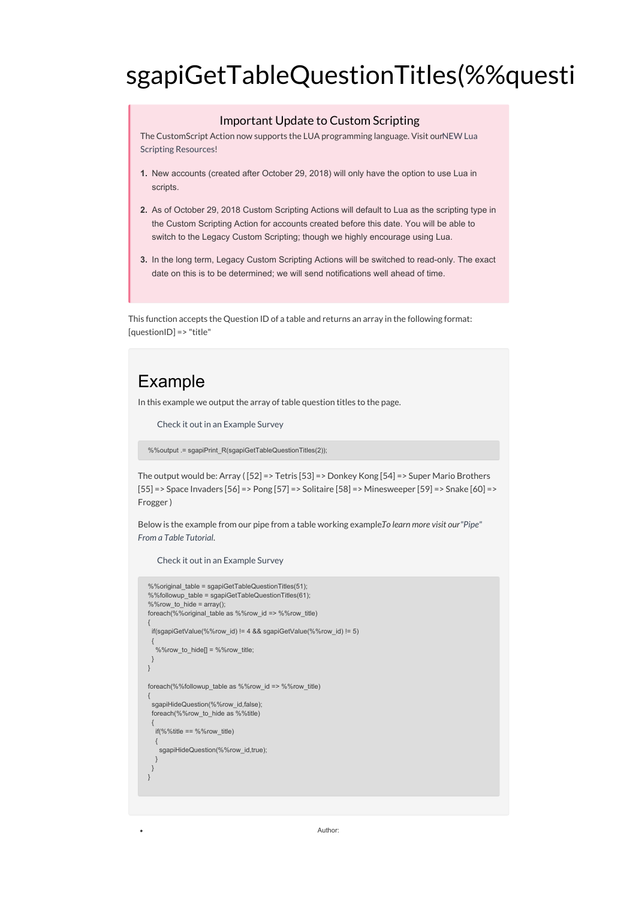## sgapiGetTableQuestionTitles(%%questi

## Important Update to Custom Scripting

The CustomScript Action now supports the LUA programming language. Visit ourNEW Lua Scripting Resources!

- **1.** New accounts (created after October 29, 2018) will only have the option to use Lua in scripts.
- **2.** As of October 29, 2018 Custom Scripting Actions will default to Lua as the scripting type in the Custom Scripting Action for accounts created before this date. You will be able to switch to the Legacy Custom Scripting; though we highly encourage using Lua.
- **3.** In the long term, Legacy Custom Scripting Actions will be switched to read-only. The exact date on this is to be determined; we will send notifications well ahead of time.

This function accepts the Question ID of a table and returns an array in the following format: [questionID] => "title"

## Example

In this example we output the array of table question titles to the page.

Check it out in an Example Survey

%%output .= sgapiPrint\_R(sgapiGetTableQuestionTitles(2));

The output would be: Array ( [52] => Tetris [53] => Donkey Kong [54] => Super Mario Brothers [55] => Space Invaders [56] => Pong [57] => Solitaire [58] => Minesweeper [59] => Snake [60] => Frogger )

Below is the example from our pipe from a table working example*T*. *o learn more visit our"Pipe" From a Table Tutorial.*

Check it out in an Example Survey

```
%%original_table = sgapiGetTableQuestionTitles(51); %%followup_table = sgapiGetTableQuestionTitles(61); %%row_to_hide = array();
foreach(%%original_table as %%row_id => %%row_title)
{
 if(sgapiGetValue(%%row_id) != 4 && sgapiGetValue(%%row_id) != 5)
  {
   %%row_to_hide[] = %%row_title;
 }
}
foreach(%%followup_table as %%row_id => %%row_title)
{
 sgapiHideQuestion(%%row_id,false);
 foreach(%%row_to_hide as %%title)
  {
  if(\%%title == \%%row title)
   {
    sgapiHideQuestion(%%row_id,true);
  }
 }
}
```